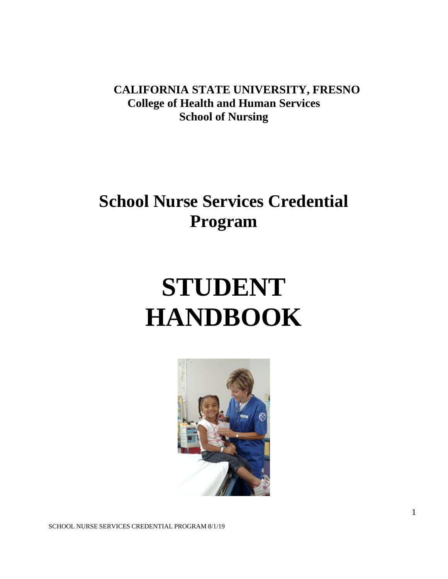**CALIFORNIA STATE UNIVERSITY, FRESNO College of Health and Human Services School of Nursing**

## **School Nurse Services Credential Program**

# **STUDENT HANDBOOK**



SCHOOL NURSE SERVICES CREDENTIAL PROGRAM 8/1/19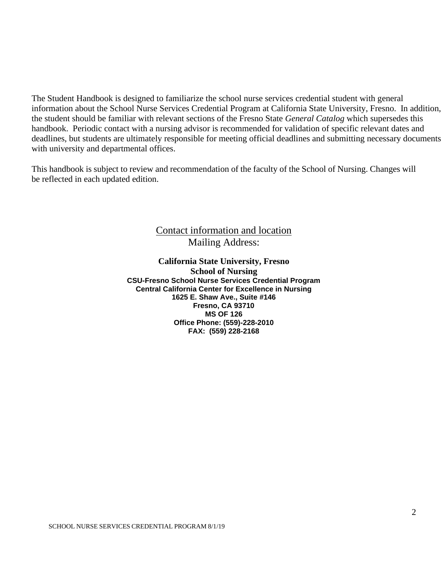The Student Handbook is designed to familiarize the school nurse services credential student with general information about the School Nurse Services Credential Program at California State University, Fresno. In addition, the student should be familiar with relevant sections of the Fresno State *General Catalog* which supersedes this handbook. Periodic contact with a nursing advisor is recommended for validation of specific relevant dates and deadlines, but students are ultimately responsible for meeting official deadlines and submitting necessary documents with university and departmental offices.

This handbook is subject to review and recommendation of the faculty of the School of Nursing. Changes will be reflected in each updated edition.

### Contact information and location Mailing Address:

**California State University, Fresno School of Nursing CSU-Fresno School Nurse Services Credential Program Central California Center for Excellence in Nursing 1625 E. Shaw Ave., Suite #146 Fresno, CA 93710 MS OF 126 Office Phone: (559)-228-2010 FAX: (559) 228-2168**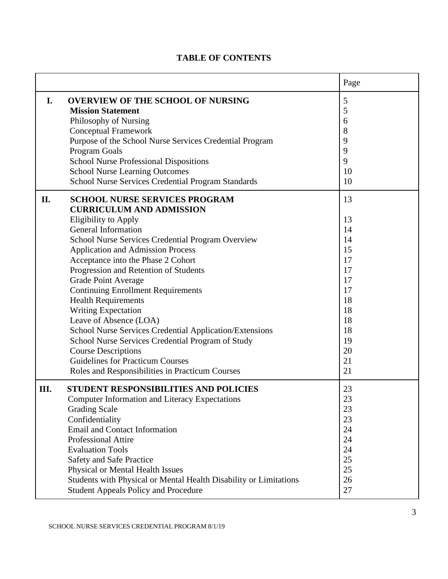|     |                                                                                                                                                                                                                                                                                                                                                                                                                                                                                                                                                                                                                                                                                                                                   | Page                                                                                               |
|-----|-----------------------------------------------------------------------------------------------------------------------------------------------------------------------------------------------------------------------------------------------------------------------------------------------------------------------------------------------------------------------------------------------------------------------------------------------------------------------------------------------------------------------------------------------------------------------------------------------------------------------------------------------------------------------------------------------------------------------------------|----------------------------------------------------------------------------------------------------|
| I.  | <b>OVERVIEW OF THE SCHOOL OF NURSING</b><br><b>Mission Statement</b><br>Philosophy of Nursing<br><b>Conceptual Framework</b><br>Purpose of the School Nurse Services Credential Program<br><b>Program Goals</b><br><b>School Nurse Professional Dispositions</b><br><b>School Nurse Learning Outcomes</b><br>School Nurse Services Credential Program Standards                                                                                                                                                                                                                                                                                                                                                                   | 5<br>5<br>6<br>8<br>9<br>9<br>9<br>10<br>10                                                        |
| II. | <b>SCHOOL NURSE SERVICES PROGRAM</b><br><b>CURRICULUM AND ADMISSION</b><br><b>Eligibility to Apply</b><br><b>General Information</b><br>School Nurse Services Credential Program Overview<br><b>Application and Admission Process</b><br>Acceptance into the Phase 2 Cohort<br>Progression and Retention of Students<br><b>Grade Point Average</b><br><b>Continuing Enrollment Requirements</b><br><b>Health Requirements</b><br><b>Writing Expectation</b><br>Leave of Absence (LOA)<br>School Nurse Services Credential Application/Extensions<br>School Nurse Services Credential Program of Study<br><b>Course Descriptions</b><br><b>Guidelines for Practicum Courses</b><br>Roles and Responsibilities in Practicum Courses | 13<br>13<br>14<br>14<br>15<br>17<br>17<br>17<br>17<br>18<br>18<br>18<br>18<br>19<br>20<br>21<br>21 |
| Ш.  | <b>STUDENT RESPONSIBILITIES AND POLICIES</b><br>Computer Information and Literacy Expectations<br><b>Grading Scale</b><br>Confidentiality<br><b>Email and Contact Information</b><br>Professional Attire<br><b>Evaluation Tools</b><br>Safety and Safe Practice<br>Physical or Mental Health Issues<br>Students with Physical or Mental Health Disability or Limitations<br><b>Student Appeals Policy and Procedure</b>                                                                                                                                                                                                                                                                                                           | 23<br>23<br>23<br>23<br>24<br>24<br>24<br>25<br>25<br>26<br>27                                     |

### **TABLE OF CONTENTS**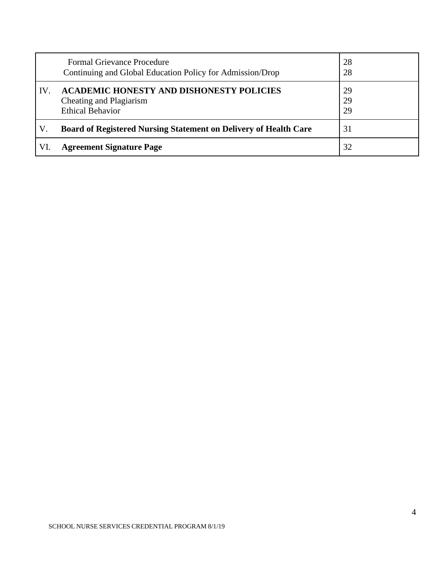|     | <b>Formal Grievance Procedure</b><br>Continuing and Global Education Policy for Admission/Drop        | 28<br>28       |
|-----|-------------------------------------------------------------------------------------------------------|----------------|
| IV. | <b>ACADEMIC HONESTY AND DISHONESTY POLICIES</b><br>Cheating and Plagiarism<br><b>Ethical Behavior</b> | 29<br>29<br>29 |
| V.  | <b>Board of Registered Nursing Statement on Delivery of Health Care</b>                               | 31             |
| VI. | <b>Agreement Signature Page</b>                                                                       | 32             |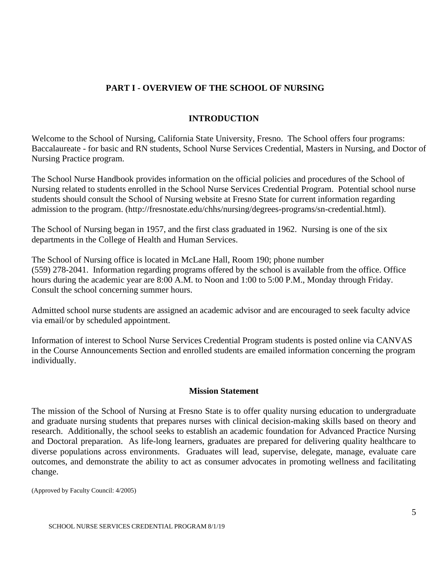### **PART I - OVERVIEW OF THE SCHOOL OF NURSING**

### **INTRODUCTION**

Welcome to the School of Nursing, California State University, Fresno. The School offers four programs: Baccalaureate - for basic and RN students, School Nurse Services Credential, Masters in Nursing, and Doctor of Nursing Practice program.

The School Nurse Handbook provides information on the official policies and procedures of the School of Nursing related to students enrolled in the School Nurse Services Credential Program. Potential school nurse students should consult the School of Nursing website at Fresno State for current information regarding admission to the program. (http://fresnostate.edu/chhs/nursing/degrees-programs/sn-credential.html).

The School of Nursing began in 1957, and the first class graduated in 1962. Nursing is one of the six departments in the College of Health and Human Services.

The School of Nursing office is located in McLane Hall, Room 190; phone number (559) 278-2041. Information regarding programs offered by the school is available from the office. Office hours during the academic year are 8:00 A.M. to Noon and 1:00 to 5:00 P.M., Monday through Friday. Consult the school concerning summer hours.

Admitted school nurse students are assigned an academic advisor and are encouraged to seek faculty advice via email/or by scheduled appointment.

Information of interest to School Nurse Services Credential Program students is posted online via CANVAS in the Course Announcements Section and enrolled students are emailed information concerning the program individually.

### **Mission Statement**

The mission of the School of Nursing at Fresno State is to offer quality nursing education to undergraduate and graduate nursing students that prepares nurses with clinical decision-making skills based on theory and research. Additionally, the school seeks to establish an academic foundation for Advanced Practice Nursing and Doctoral preparation. As life-long learners, graduates are prepared for delivering quality healthcare to diverse populations across environments. Graduates will lead, supervise, delegate, manage, evaluate care outcomes, and demonstrate the ability to act as consumer advocates in promoting wellness and facilitating change.

(Approved by Faculty Council: 4/2005)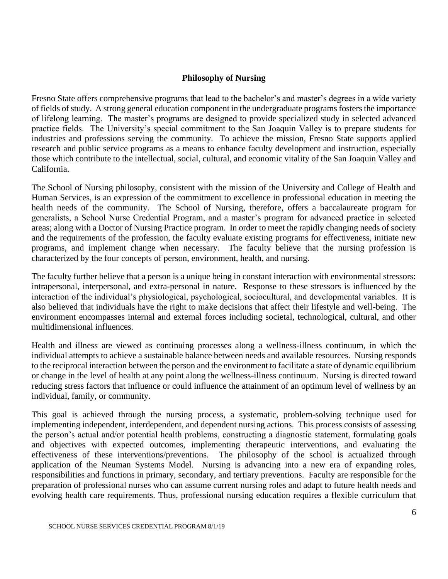### **Philosophy of Nursing**

Fresno State offers comprehensive programs that lead to the bachelor's and master's degrees in a wide variety of fields of study. A strong general education component in the undergraduate programs fosters the importance of lifelong learning. The master's programs are designed to provide specialized study in selected advanced practice fields. The University's special commitment to the San Joaquin Valley is to prepare students for industries and professions serving the community. To achieve the mission, Fresno State supports applied research and public service programs as a means to enhance faculty development and instruction, especially those which contribute to the intellectual, social, cultural, and economic vitality of the San Joaquin Valley and California.

The School of Nursing philosophy, consistent with the mission of the University and College of Health and Human Services, is an expression of the commitment to excellence in professional education in meeting the health needs of the community. The School of Nursing, therefore, offers a baccalaureate program for generalists, a School Nurse Credential Program, and a master's program for advanced practice in selected areas; along with a Doctor of Nursing Practice program. In order to meet the rapidly changing needs of society and the requirements of the profession, the faculty evaluate existing programs for effectiveness, initiate new programs, and implement change when necessary. The faculty believe that the nursing profession is characterized by the four concepts of person, environment, health, and nursing.

The faculty further believe that a person is a unique being in constant interaction with environmental stressors: intrapersonal, interpersonal, and extra-personal in nature. Response to these stressors is influenced by the interaction of the individual's physiological, psychological, sociocultural, and developmental variables. It is also believed that individuals have the right to make decisions that affect their lifestyle and well-being. The environment encompasses internal and external forces including societal, technological, cultural, and other multidimensional influences.

Health and illness are viewed as continuing processes along a wellness-illness continuum, in which the individual attempts to achieve a sustainable balance between needs and available resources. Nursing responds to the reciprocal interaction between the person and the environment to facilitate a state of dynamic equilibrium or change in the level of health at any point along the wellness-illness continuum. Nursing is directed toward reducing stress factors that influence or could influence the attainment of an optimum level of wellness by an individual, family, or community.

This goal is achieved through the nursing process, a systematic, problem-solving technique used for implementing independent, interdependent, and dependent nursing actions. This process consists of assessing the person's actual and/or potential health problems, constructing a diagnostic statement, formulating goals and objectives with expected outcomes, implementing therapeutic interventions, and evaluating the effectiveness of these interventions/preventions. The philosophy of the school is actualized through application of the Neuman Systems Model. Nursing is advancing into a new era of expanding roles, responsibilities and functions in primary, secondary, and tertiary preventions. Faculty are responsible for the preparation of professional nurses who can assume current nursing roles and adapt to future health needs and evolving health care requirements. Thus, professional nursing education requires a flexible curriculum that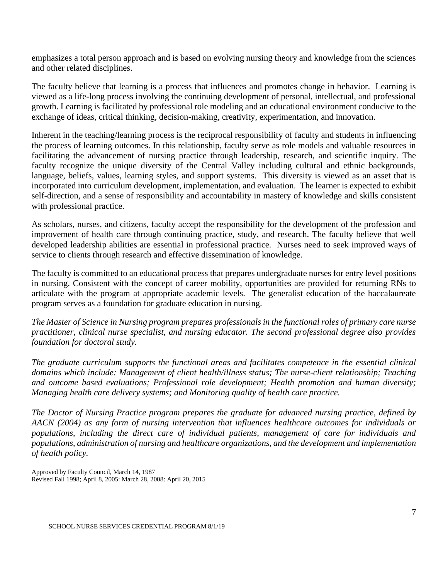emphasizes a total person approach and is based on evolving nursing theory and knowledge from the sciences and other related disciplines.

The faculty believe that learning is a process that influences and promotes change in behavior. Learning is viewed as a life-long process involving the continuing development of personal, intellectual, and professional growth. Learning is facilitated by professional role modeling and an educational environment conducive to the exchange of ideas, critical thinking, decision-making, creativity, experimentation, and innovation.

Inherent in the teaching/learning process is the reciprocal responsibility of faculty and students in influencing the process of learning outcomes. In this relationship, faculty serve as role models and valuable resources in facilitating the advancement of nursing practice through leadership, research, and scientific inquiry. The faculty recognize the unique diversity of the Central Valley including cultural and ethnic backgrounds, language, beliefs, values, learning styles, and support systems. This diversity is viewed as an asset that is incorporated into curriculum development, implementation, and evaluation.The learner is expected to exhibit self-direction, and a sense of responsibility and accountability in mastery of knowledge and skills consistent with professional practice.

As scholars, nurses, and citizens, faculty accept the responsibility for the development of the profession and improvement of health care through continuing practice, study, and research. The faculty believe that well developed leadership abilities are essential in professional practice. Nurses need to seek improved ways of service to clients through research and effective dissemination of knowledge.

The faculty is committed to an educational process that prepares undergraduate nurses for entry level positions in nursing. Consistent with the concept of career mobility, opportunities are provided for returning RNs to articulate with the program at appropriate academic levels. The generalist education of the baccalaureate program serves as a foundation for graduate education in nursing.

*The Master of Science in Nursing program prepares professionals in the functional roles of primary care nurse practitioner, clinical nurse specialist, and nursing educator. The second professional degree also provides foundation for doctoral study.*

*The graduate curriculum supports the functional areas and facilitates competence in the essential clinical domains which include: Management of client health/illness status; The nurse-client relationship; Teaching and outcome based evaluations; Professional role development; Health promotion and human diversity; Managing health care delivery systems; and Monitoring quality of health care practice.*

*The Doctor of Nursing Practice program prepares the graduate for advanced nursing practice, defined by AACN (2004) as any form of nursing intervention that influences healthcare outcomes for individuals or populations, including the direct care of individual patients, management of care for individuals and populations, administration of nursing and healthcare organizations, and the development and implementation of health policy.*

Approved by Faculty Council, March 14, 1987 Revised Fall 1998; April 8, 2005: March 28, 2008: April 20, 2015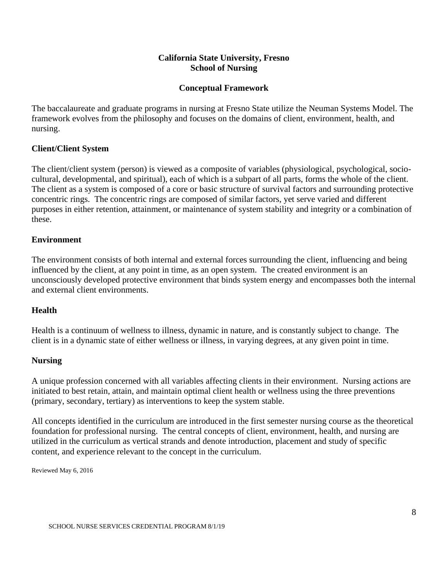### **California State University, Fresno School of Nursing**

### **Conceptual Framework**

The baccalaureate and graduate programs in nursing at Fresno State utilize the Neuman Systems Model. The framework evolves from the philosophy and focuses on the domains of client, environment, health, and nursing.

### **Client/Client System**

The client/client system (person) is viewed as a composite of variables (physiological, psychological, sociocultural, developmental, and spiritual), each of which is a subpart of all parts, forms the whole of the client. The client as a system is composed of a core or basic structure of survival factors and surrounding protective concentric rings. The concentric rings are composed of similar factors, yet serve varied and different purposes in either retention, attainment, or maintenance of system stability and integrity or a combination of these.

### **Environment**

The environment consists of both internal and external forces surrounding the client, influencing and being influenced by the client, at any point in time, as an open system. The created environment is an unconsciously developed protective environment that binds system energy and encompasses both the internal and external client environments.

### **Health**

Health is a continuum of wellness to illness, dynamic in nature, and is constantly subject to change. The client is in a dynamic state of either wellness or illness, in varying degrees, at any given point in time.

### **Nursing**

A unique profession concerned with all variables affecting clients in their environment. Nursing actions are initiated to best retain, attain, and maintain optimal client health or wellness using the three preventions (primary, secondary, tertiary) as interventions to keep the system stable.

All concepts identified in the curriculum are introduced in the first semester nursing course as the theoretical foundation for professional nursing. The central concepts of client, environment, health, and nursing are utilized in the curriculum as vertical strands and denote introduction, placement and study of specific content, and experience relevant to the concept in the curriculum.

Reviewed May 6, 2016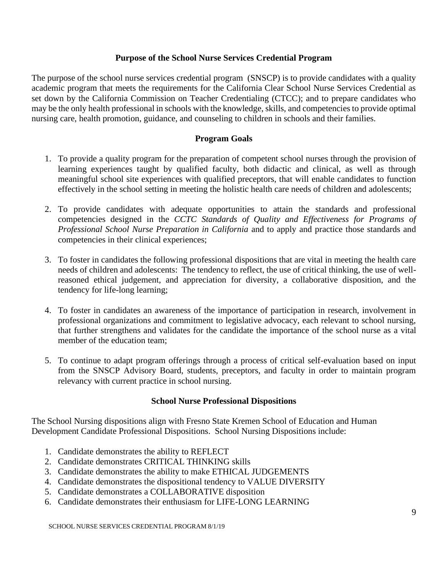### **Purpose of the School Nurse Services Credential Program**

The purpose of the school nurse services credential program (SNSCP) is to provide candidates with a quality academic program that meets the requirements for the California Clear School Nurse Services Credential as set down by the California Commission on Teacher Credentialing (CTCC); and to prepare candidates who may be the only health professional in schools with the knowledge, skills, and competencies to provide optimal nursing care, health promotion, guidance, and counseling to children in schools and their families.

### **Program Goals**

- 1. To provide a quality program for the preparation of competent school nurses through the provision of learning experiences taught by qualified faculty, both didactic and clinical, as well as through meaningful school site experiences with qualified preceptors, that will enable candidates to function effectively in the school setting in meeting the holistic health care needs of children and adolescents;
- 2. To provide candidates with adequate opportunities to attain the standards and professional competencies designed in the *CCTC Standards of Quality and Effectiveness for Programs of Professional School Nurse Preparation in California* and to apply and practice those standards and competencies in their clinical experiences;
- 3. To foster in candidates the following professional dispositions that are vital in meeting the health care needs of children and adolescents: The tendency to reflect, the use of critical thinking, the use of wellreasoned ethical judgement, and appreciation for diversity, a collaborative disposition, and the tendency for life-long learning;
- 4. To foster in candidates an awareness of the importance of participation in research, involvement in professional organizations and commitment to legislative advocacy, each relevant to school nursing, that further strengthens and validates for the candidate the importance of the school nurse as a vital member of the education team;
- 5. To continue to adapt program offerings through a process of critical self-evaluation based on input from the SNSCP Advisory Board, students, preceptors, and faculty in order to maintain program relevancy with current practice in school nursing.

### **School Nurse Professional Dispositions**

The School Nursing dispositions align with Fresno State Kremen School of Education and Human Development Candidate Professional Dispositions. School Nursing Dispositions include:

- 1. Candidate demonstrates the ability to REFLECT
- 2. Candidate demonstrates CRITICAL THINKING skills
- 3. Candidate demonstrates the ability to make ETHICAL JUDGEMENTS
- 4. Candidate demonstrates the dispositional tendency to VALUE DIVERSITY
- 5. Candidate demonstrates a COLLABORATIVE disposition
- 6. Candidate demonstrates their enthusiasm for LIFE-LONG LEARNING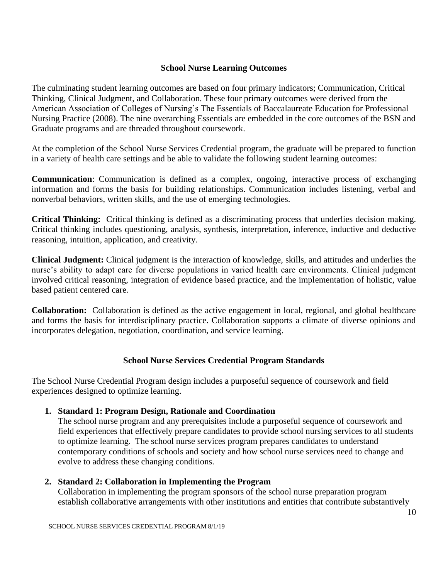### **School Nurse Learning Outcomes**

The culminating student learning outcomes are based on four primary indicators; Communication, Critical Thinking, Clinical Judgment, and Collaboration. These four primary outcomes were derived from the American Association of Colleges of Nursing's The Essentials of Baccalaureate Education for Professional Nursing Practice (2008). The nine overarching Essentials are embedded in the core outcomes of the BSN and Graduate programs and are threaded throughout coursework.

At the completion of the School Nurse Services Credential program, the graduate will be prepared to function in a variety of health care settings and be able to validate the following student learning outcomes:

**Communication**: Communication is defined as a complex, ongoing, interactive process of exchanging information and forms the basis for building relationships. Communication includes listening, verbal and nonverbal behaviors, written skills, and the use of emerging technologies.

**Critical Thinking:** Critical thinking is defined as a discriminating process that underlies decision making. Critical thinking includes questioning, analysis, synthesis, interpretation, inference, inductive and deductive reasoning, intuition, application, and creativity.

**Clinical Judgment:** Clinical judgment is the interaction of knowledge, skills, and attitudes and underlies the nurse's ability to adapt care for diverse populations in varied health care environments. Clinical judgment involved critical reasoning, integration of evidence based practice, and the implementation of holistic, value based patient centered care.

**Collaboration:** Collaboration is defined as the active engagement in local, regional, and global healthcare and forms the basis for interdisciplinary practice. Collaboration supports a climate of diverse opinions and incorporates delegation, negotiation, coordination, and service learning.

### **School Nurse Services Credential Program Standards**

The School Nurse Credential Program design includes a purposeful sequence of coursework and field experiences designed to optimize learning.

### **1. Standard 1: Program Design, Rationale and Coordination**

The school nurse program and any prerequisites include a purposeful sequence of coursework and field experiences that effectively prepare candidates to provide school nursing services to all students to optimize learning. The school nurse services program prepares candidates to understand contemporary conditions of schools and society and how school nurse services need to change and evolve to address these changing conditions.

### **2. Standard 2: Collaboration in Implementing the Program**

Collaboration in implementing the program sponsors of the school nurse preparation program establish collaborative arrangements with other institutions and entities that contribute substantively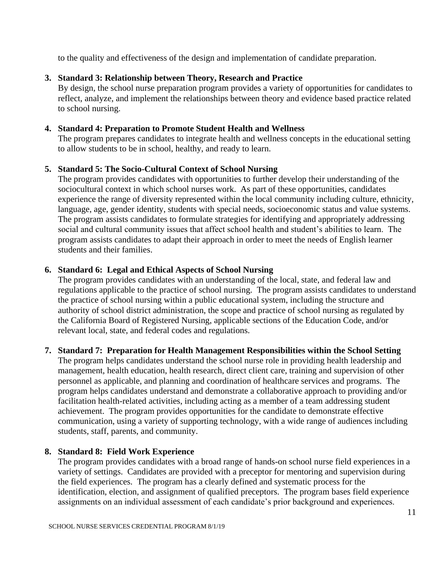to the quality and effectiveness of the design and implementation of candidate preparation.

### **3. Standard 3: Relationship between Theory, Research and Practice**

By design, the school nurse preparation program provides a variety of opportunities for candidates to reflect, analyze, and implement the relationships between theory and evidence based practice related to school nursing.

### **4. Standard 4: Preparation to Promote Student Health and Wellness**

The program prepares candidates to integrate health and wellness concepts in the educational setting to allow students to be in school, healthy, and ready to learn.

### **5. Standard 5: The Socio-Cultural Context of School Nursing**

The program provides candidates with opportunities to further develop their understanding of the sociocultural context in which school nurses work. As part of these opportunities, candidates experience the range of diversity represented within the local community including culture, ethnicity, language, age, gender identity, students with special needs, socioeconomic status and value systems. The program assists candidates to formulate strategies for identifying and appropriately addressing social and cultural community issues that affect school health and student's abilities to learn. The program assists candidates to adapt their approach in order to meet the needs of English learner students and their families.

### **6. Standard 6: Legal and Ethical Aspects of School Nursing**

The program provides candidates with an understanding of the local, state, and federal law and regulations applicable to the practice of school nursing. The program assists candidates to understand the practice of school nursing within a public educational system, including the structure and authority of school district administration, the scope and practice of school nursing as regulated by the California Board of Registered Nursing, applicable sections of the Education Code, and/or relevant local, state, and federal codes and regulations.

### **7. Standard 7: Preparation for Health Management Responsibilities within the School Setting**

The program helps candidates understand the school nurse role in providing health leadership and management, health education, health research, direct client care, training and supervision of other personnel as applicable, and planning and coordination of healthcare services and programs. The program helps candidates understand and demonstrate a collaborative approach to providing and/or facilitation health-related activities, including acting as a member of a team addressing student achievement. The program provides opportunities for the candidate to demonstrate effective communication, using a variety of supporting technology, with a wide range of audiences including students, staff, parents, and community.

### **8. Standard 8: Field Work Experience**

The program provides candidates with a broad range of hands-on school nurse field experiences in a variety of settings. Candidates are provided with a preceptor for mentoring and supervision during the field experiences. The program has a clearly defined and systematic process for the identification, election, and assignment of qualified preceptors. The program bases field experience assignments on an individual assessment of each candidate's prior background and experiences.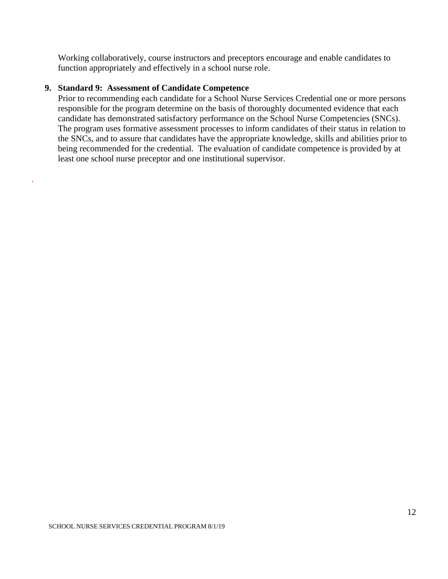Working collaboratively, course instructors and preceptors encourage and enable candidates to function appropriately and effectively in a school nurse role.

#### **9. Standard 9: Assessment of Candidate Competence**

.

Prior to recommending each candidate for a School Nurse Services Credential one or more persons responsible for the program determine on the basis of thoroughly documented evidence that each candidate has demonstrated satisfactory performance on the School Nurse Competencies (SNCs). The program uses formative assessment processes to inform candidates of their status in relation to the SNCs, and to assure that candidates have the appropriate knowledge, skills and abilities prior to being recommended for the credential. The evaluation of candidate competence is provided by at least one school nurse preceptor and one institutional supervisor.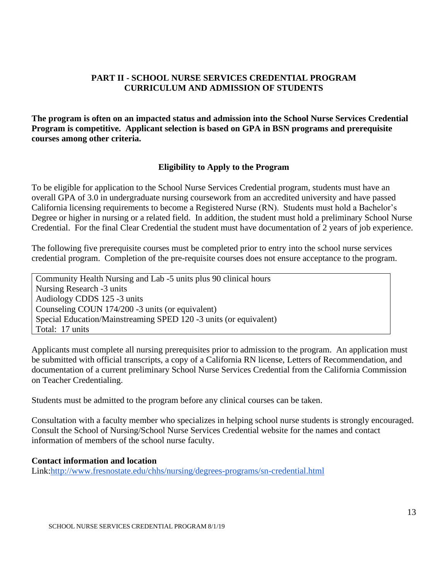### **PART II - SCHOOL NURSE SERVICES CREDENTIAL PROGRAM CURRICULUM AND ADMISSION OF STUDENTS**

**The program is often on an impacted status and admission into the School Nurse Services Credential Program is competitive. Applicant selection is based on GPA in BSN programs and prerequisite courses among other criteria.**

### **Eligibility to Apply to the Program**

To be eligible for application to the School Nurse Services Credential program, students must have an overall GPA of 3.0 in undergraduate nursing coursework from an accredited university and have passed California licensing requirements to become a Registered Nurse (RN). Students must hold a Bachelor's Degree or higher in nursing or a related field. In addition, the student must hold a preliminary School Nurse Credential. For the final Clear Credential the student must have documentation of 2 years of job experience.

The following five prerequisite courses must be completed prior to entry into the school nurse services credential program. Completion of the pre-requisite courses does not ensure acceptance to the program.

Community Health Nursing and Lab -5 units plus 90 clinical hours Nursing Research -3 units Audiology CDDS 125 -3 units Counseling COUN 174/200 -3 units (or equivalent) Special Education/Mainstreaming SPED 120 -3 units (or equivalent) Total: 17 units

Applicants must complete all nursing prerequisites prior to admission to the program. An application must be submitted with official transcripts, a copy of a California RN license, Letters of Recommendation, and documentation of a current preliminary School Nurse Services Credential from the California Commission on Teacher Credentialing.

Students must be admitted to the program before any clinical courses can be taken.

Consultation with a faculty member who specializes in helping school nurse students is strongly encouraged. Consult the School of Nursing/School Nurse Services Credential website for the names and contact information of members of the school nurse faculty.

#### **Contact information and location**

Link[:http://www.fresnostate.edu/chhs/nursing/degrees-programs/sn-credential.html](http://www.fresnostate.edu/chhs/nursing/degrees-programs/sn-credential.html)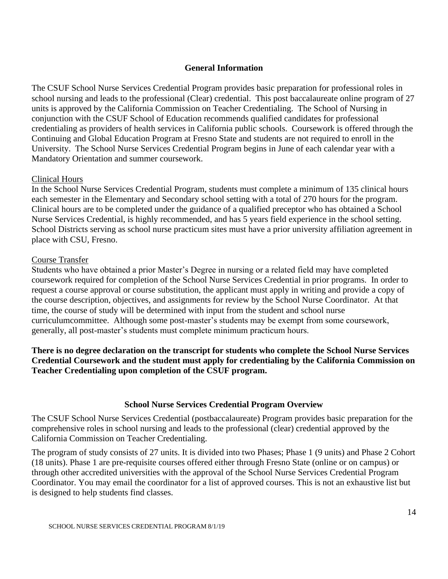### **General Information**

The CSUF School Nurse Services Credential Program provides basic preparation for professional roles in school nursing and leads to the professional (Clear) credential. This post baccalaureate online program of 27 units is approved by the California Commission on Teacher Credentialing. The School of Nursing in conjunction with the CSUF School of Education recommends qualified candidates for professional credentialing as providers of health services in California public schools. Coursework is offered through the Continuing and Global Education Program at Fresno State and students are not required to enroll in the University. The School Nurse Services Credential Program begins in June of each calendar year with a Mandatory Orientation and summer coursework.

### Clinical Hours

In the School Nurse Services Credential Program, students must complete a minimum of 135 clinical hours each semester in the Elementary and Secondary school setting with a total of 270 hours for the program. Clinical hours are to be completed under the guidance of a qualified preceptor who has obtained a School Nurse Services Credential, is highly recommended, and has 5 years field experience in the school setting. School Districts serving as school nurse practicum sites must have a prior university affiliation agreement in place with CSU, Fresno.

### Course Transfer

Students who have obtained a prior Master's Degree in nursing or a related field may have completed coursework required for completion of the School Nurse Services Credential in prior programs. In order to request a course approval or course substitution, the applicant must apply in writing and provide a copy of the course description, objectives, and assignments for review by the School Nurse Coordinator. At that time, the course of study will be determined with input from the student and school nurse curriculumcommittee. Although some post-master's students may be exempt from some coursework, generally, all post-master's students must complete minimum practicum hours.

### **There is no degree declaration on the transcript for students who complete the School Nurse Services Credential Coursework and the student must apply for credentialing by the California Commission on Teacher Credentialing upon completion of the CSUF program.**

### **School Nurse Services Credential Program Overview**

The CSUF School Nurse Services Credential (postbaccalaureate) Program provides basic preparation for the comprehensive roles in school nursing and leads to the professional (clear) credential approved by the California Commission on Teacher Credentialing.

The program of study consists of 27 units. It is divided into two Phases; Phase 1 (9 units) and Phase 2 Cohort (18 units). Phase 1 are pre-requisite courses offered either through Fresno State (online or on campus) or through other accredited universities with the approval of the School Nurse Services Credential Program Coordinator. You may email the coordinator for a list of approved courses. This is not an exhaustive list but is designed to help students find classes.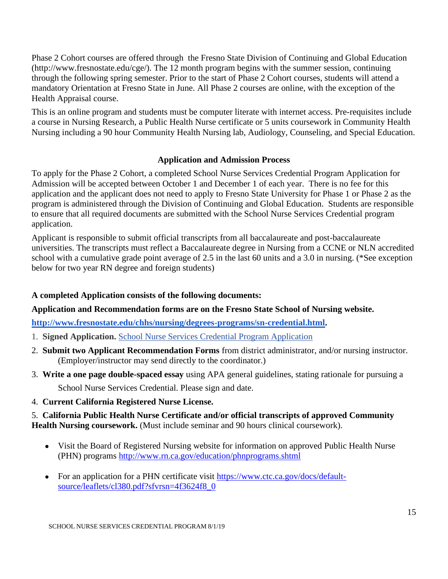Phase 2 Cohort courses are offered through the Fresno State Division of Continuing and Global Education (http://www.fresnostate.edu/cge/). The 12 month program begins with the summer session, continuing through the following spring semester. Prior to the start of Phase 2 Cohort courses, students will attend a mandatory Orientation at Fresno State in June. All Phase 2 courses are online, with the exception of the Health Appraisal course.

This is an online program and students must be computer literate with internet access. Pre-requisites include a course in Nursing Research, a Public Health Nurse certificate or 5 units coursework in Community Health Nursing including a 90 hour Community Health Nursing lab, Audiology, Counseling, and Special Education.

### **Application and Admission Process**

To apply for the Phase 2 Cohort, a completed School Nurse Services Credential Program Application for Admission will be accepted between October 1 and December 1 of each year. There is no fee for this application and the applicant does not need to apply to Fresno State University for Phase 1 or Phase 2 as the program is administered through the Division of Continuing and Global Education. Students are responsible to ensure that all required documents are submitted with the School Nurse Services Credential program application.

Applicant is responsible to submit official transcripts from all baccalaureate and post-baccalaureate universities. The transcripts must reflect a Baccalaureate degree in Nursing from a CCNE or NLN accredited school with a cumulative grade point average of 2.5 in the last 60 units and a 3.0 in nursing. (\*See exception below for two year RN degree and foreign students)

### **A completed Application consists of the following documents:**

### **Application and Recommendation forms are on the Fresno State School of Nursing website.**

**[http://www.fresnostate.edu/chhs/nursing/degrees-programs/sn-credential.html.](http://www.fresnostate.edu/chhs/nursing/degrees-programs/sn-credential.html)** 

- 1. **Signed Application.** [School Nurse Services Credential Program Application](http://www.fresnostate.edu/chhs/nursing/documents/Application_Phase%202%20Cohort%20FINAL2015.pdf)
- 2. **Submit two Applicant Recommendation Forms** from district administrator, and/or nursing instructor. (Employer/instructor may send directly to the coordinator.)
- 3. **Write a one page double-spaced essay** using APA general guidelines, stating rationale for pursuing a School Nurse Services Credential. Please sign and date.
- 4. **Current California Registered Nurse License.**

### 5. **California Public Health Nurse Certificate and/or official transcripts of approved Community Health Nursing coursework.** (Must include seminar and 90 hours clinical coursework).

- Visit the Board of Registered Nursing website for information on approved Public Health Nurse (PHN) programs<http://www.rn.ca.gov/education/phnprograms.shtml>
- For an application for a PHN certificate visit [https://www.ctc.ca.gov/docs/default](https://www.ctc.ca.gov/docs/default-source/leaflets/cl380.pdf?sfvrsn=4f3624f8_0)[source/leaflets/cl380.pdf?sfvrsn=4f3624f8\\_0](https://www.ctc.ca.gov/docs/default-source/leaflets/cl380.pdf?sfvrsn=4f3624f8_0)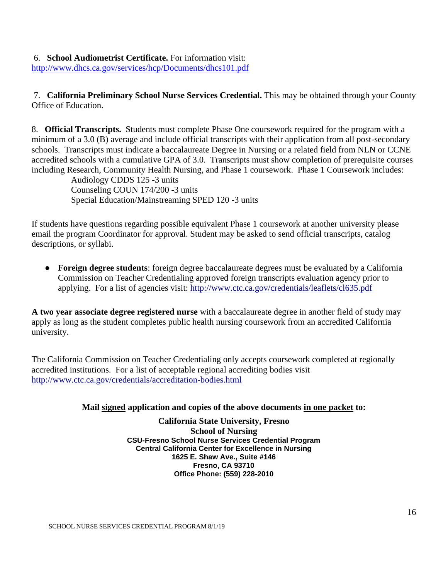### 6. **School Audiometrist Certificate.** For information visit:

<http://www.dhcs.ca.gov/services/hcp/Documents/dhcs101.pdf>

7. **California Preliminary School Nurse Services Credential.** This may be obtained through your County Office of Education.

8. **Official Transcripts.** Students must complete Phase One coursework required for the program with a minimum of a 3.0 (B) average and include official transcripts with their application from all post-secondary schools. Transcripts must indicate a baccalaureate Degree in Nursing or a related field from NLN or CCNE accredited schools with a cumulative GPA of 3.0. Transcripts must show completion of prerequisite courses including Research, Community Health Nursing, and Phase 1 coursework. Phase 1 Coursework includes:

Audiology CDDS 125 -3 units Counseling COUN 174/200 -3 units Special Education/Mainstreaming SPED 120 -3 units

If students have questions regarding possible equivalent Phase 1 coursework at another university please email the program Coordinator for approval. Student may be asked to send official transcripts, catalog descriptions, or syllabi.

● **Foreign degree students**: foreign degree baccalaureate degrees must be evaluated by a California Commission on Teacher Credentialing approved foreign transcripts evaluation agency prior to applying. For a list of agencies visit:<http://www.ctc.ca.gov/credentials/leaflets/cl635.pdf>

**A two year associate degree registered nurse** with a baccalaureate degree in another field of study may apply as long as the student completes public health nursing coursework from an accredited California university.

The California Commission on Teacher Credentialing only accepts coursework completed at regionally accredited institutions. For a list of acceptable regional accrediting bodies visit <http://www.ctc.ca.gov/credentials/accreditation-bodies.html>

### **Mail signed application and copies of the above documents in one packet to:**

**California State University, Fresno School of Nursing CSU-Fresno School Nurse Services Credential Program Central California Center for Excellence in Nursing 1625 E. Shaw Ave., Suite #146 Fresno, CA 93710 Office Phone: (559) 228-2010**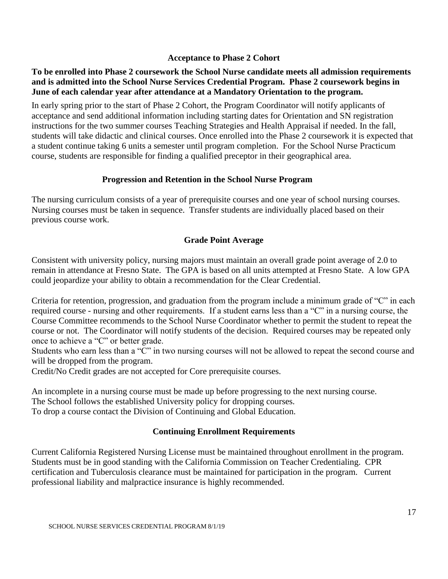### **Acceptance to Phase 2 Cohort**

### **To be enrolled into Phase 2 coursework the School Nurse candidate meets all admission requirements and is admitted into the School Nurse Services Credential Program. Phase 2 coursework begins in June of each calendar year after attendance at a Mandatory Orientation to the program.**

In early spring prior to the start of Phase 2 Cohort, the Program Coordinator will notify applicants of acceptance and send additional information including starting dates for Orientation and SN registration instructions for the two summer courses Teaching Strategies and Health Appraisal if needed. In the fall, students will take didactic and clinical courses. Once enrolled into the Phase 2 coursework it is expected that a student continue taking 6 units a semester until program completion. For the School Nurse Practicum course, students are responsible for finding a qualified preceptor in their geographical area.

### **Progression and Retention in the School Nurse Program**

The nursing curriculum consists of a year of prerequisite courses and one year of school nursing courses. Nursing courses must be taken in sequence. Transfer students are individually placed based on their previous course work.

### **Grade Point Average**

Consistent with university policy, nursing majors must maintain an overall grade point average of 2.0 to remain in attendance at Fresno State. The GPA is based on all units attempted at Fresno State. A low GPA could jeopardize your ability to obtain a recommendation for the Clear Credential.

Criteria for retention, progression, and graduation from the program include a minimum grade of "C" in each required course - nursing and other requirements. If a student earns less than a "C" in a nursing course, the Course Committee recommends to the School Nurse Coordinator whether to permit the student to repeat the course or not. The Coordinator will notify students of the decision. Required courses may be repeated only once to achieve a "C" or better grade.

Students who earn less than a "C" in two nursing courses will not be allowed to repeat the second course and will be dropped from the program.

Credit/No Credit grades are not accepted for Core prerequisite courses.

An incomplete in a nursing course must be made up before progressing to the next nursing course. The School follows the established University policy for dropping courses. To drop a course contact the Division of Continuing and Global Education.

### **Continuing Enrollment Requirements**

Current California Registered Nursing License must be maintained throughout enrollment in the program. Students must be in good standing with the California Commission on Teacher Credentialing. CPR certification and Tuberculosis clearance must be maintained for participation in the program. Current professional liability and malpractice insurance is highly recommended.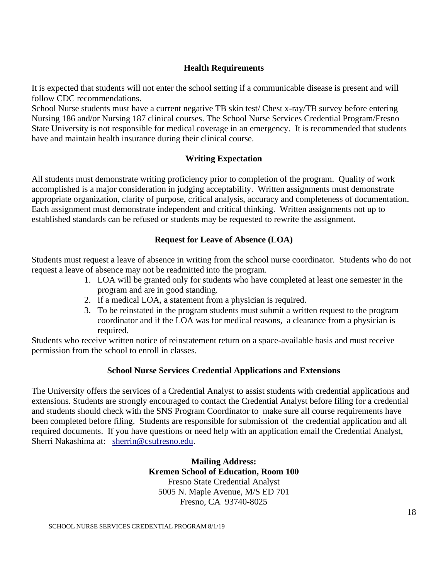### **Health Requirements**

It is expected that students will not enter the school setting if a communicable disease is present and will follow CDC recommendations.

School Nurse students must have a current negative TB skin test/ Chest x-ray/TB survey before entering Nursing 186 and/or Nursing 187 clinical courses. The School Nurse Services Credential Program/Fresno State University is not responsible for medical coverage in an emergency. It is recommended that students have and maintain health insurance during their clinical course.

### **Writing Expectation**

All students must demonstrate writing proficiency prior to completion of the program. Quality of work accomplished is a major consideration in judging acceptability. Written assignments must demonstrate appropriate organization, clarity of purpose, critical analysis, accuracy and completeness of documentation. Each assignment must demonstrate independent and critical thinking. Written assignments not up to established standards can be refused or students may be requested to rewrite the assignment.

### **Request for Leave of Absence (LOA)**

Students must request a leave of absence in writing from the school nurse coordinator. Students who do not request a leave of absence may not be readmitted into the program.

- 1. LOA will be granted only for students who have completed at least one semester in the program and are in good standing.
- 2. If a medical LOA, a statement from a physician is required.
- 3. To be reinstated in the program students must submit a written request to the program coordinator and if the LOA was for medical reasons, a clearance from a physician is required.

Students who receive written notice of reinstatement return on a space-available basis and must receive permission from the school to enroll in classes.

### **School Nurse Services Credential Applications and Extensions**

The University offers the services of a Credential Analyst to assist students with credential applications and extensions. Students are strongly encouraged to contact the Credential Analyst before filing for a credential and students should check with the SNS Program Coordinator to make sure all course requirements have been completed before filing. Students are responsible for submission of the credential application and all required documents. If you have questions or need help with an application email the Credential Analyst, Sherri Nakashima at: [sherrin@csufresno.edu.](mailto:sherrin@csufresno.edu)

> **Mailing Address: Kremen School of Education, Room 100** Fresno State Credential Analyst 5005 N. Maple Avenue, M/S ED 701 Fresno, CA 93740-8025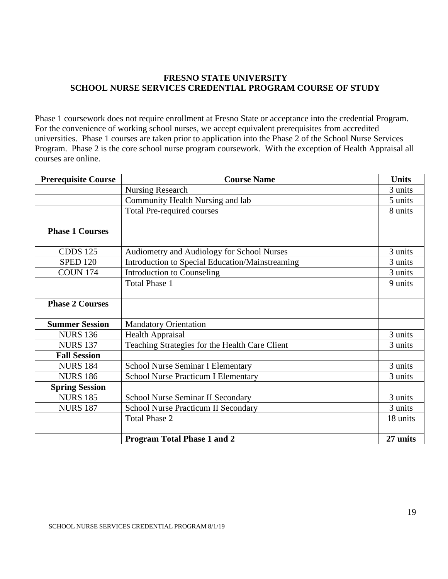### **FRESNO STATE UNIVERSITY SCHOOL NURSE SERVICES CREDENTIAL PROGRAM COURSE OF STUDY**

Phase 1 coursework does not require enrollment at Fresno State or acceptance into the credential Program. For the convenience of working school nurses, we accept equivalent prerequisites from accredited universities. Phase 1 courses are taken prior to application into the Phase 2 of the School Nurse Services Program. Phase 2 is the core school nurse program coursework. With the exception of Health Appraisal all courses are online.

| <b>Prerequisite Course</b> | <b>Course Name</b>                              | <b>Units</b> |
|----------------------------|-------------------------------------------------|--------------|
|                            | <b>Nursing Research</b>                         | 3 units      |
|                            | Community Health Nursing and lab                | 5 units      |
|                            | <b>Total Pre-required courses</b>               | 8 units      |
|                            |                                                 |              |
| <b>Phase 1 Courses</b>     |                                                 |              |
|                            |                                                 |              |
| <b>CDDS 125</b>            | Audiometry and Audiology for School Nurses      | 3 units      |
| <b>SPED 120</b>            | Introduction to Special Education/Mainstreaming | 3 units      |
| <b>COUN 174</b>            | <b>Introduction to Counseling</b>               | 3 units      |
|                            | <b>Total Phase 1</b>                            | 9 units      |
|                            |                                                 |              |
| <b>Phase 2 Courses</b>     |                                                 |              |
|                            |                                                 |              |
| <b>Summer Session</b>      | <b>Mandatory Orientation</b>                    |              |
| <b>NURS 136</b>            | <b>Health Appraisal</b>                         | 3 units      |
| <b>NURS 137</b>            | Teaching Strategies for the Health Care Client  | 3 units      |
| <b>Fall Session</b>        |                                                 |              |
| <b>NURS 184</b>            | <b>School Nurse Seminar I Elementary</b>        | 3 units      |
| <b>NURS 186</b>            | <b>School Nurse Practicum I Elementary</b>      | 3 units      |
| <b>Spring Session</b>      |                                                 |              |
| <b>NURS 185</b>            | School Nurse Seminar II Secondary               | 3 units      |
| <b>NURS 187</b>            | <b>School Nurse Practicum II Secondary</b>      | 3 units      |
|                            | <b>Total Phase 2</b>                            | 18 units     |
|                            |                                                 |              |
|                            | <b>Program Total Phase 1 and 2</b>              | 27 units     |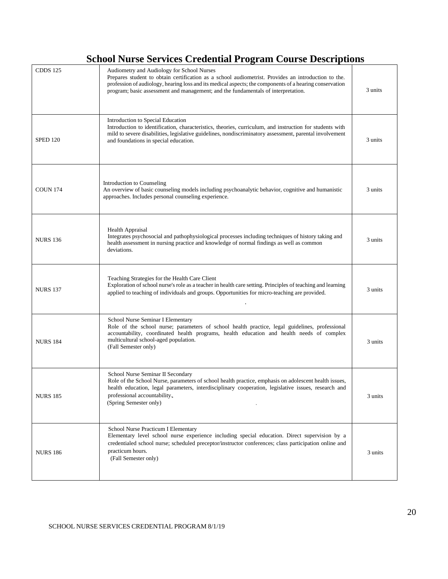### **School Nurse Services Credential Program Course Descriptions**

| <b>CDDS 125</b> | Audiometry and Audiology for School Nurses<br>Prepares student to obtain certification as a school audiometrist. Provides an introduction to the.<br>profession of audiology, hearing loss and its medical aspects; the components of a hearing conservation<br>program; basic assessment and management; and the fundamentals of interpretation. | 3 units |
|-----------------|---------------------------------------------------------------------------------------------------------------------------------------------------------------------------------------------------------------------------------------------------------------------------------------------------------------------------------------------------|---------|
| <b>SPED 120</b> | Introduction to Special Education<br>Introduction to identification, characteristics, theories, curriculum, and instruction for students with<br>mild to severe disabilities, legislative guidelines, nondiscriminatory assessment, parental involvement<br>and foundations in special education.                                                 | 3 units |
| <b>COUN 174</b> | Introduction to Counseling<br>An overview of basic counseling models including psychoanalytic behavior, cognitive and humanistic<br>approaches. Includes personal counseling experience.                                                                                                                                                          | 3 units |
| <b>NURS 136</b> | <b>Health Appraisal</b><br>Integrates psychosocial and pathophysiological processes including techniques of history taking and<br>health assessment in nursing practice and knowledge of normal findings as well as common<br>deviations.                                                                                                         | 3 units |
| <b>NURS 137</b> | Teaching Strategies for the Health Care Client<br>Exploration of school nurse's role as a teacher in health care setting. Principles of teaching and learning<br>applied to teaching of individuals and groups. Opportunities for micro-teaching are provided.                                                                                    | 3 units |
| <b>NURS 184</b> | School Nurse Seminar I Elementary<br>Role of the school nurse; parameters of school health practice, legal guidelines, professional<br>accountability, coordinated health programs, health education and health needs of complex<br>multicultural school-aged population.<br>(Fall Semester only)                                                 |         |
| <b>NURS 185</b> | School Nurse Seminar II Secondary<br>Role of the School Nurse, parameters of school health practice, emphasis on adolescent health issues,<br>health education, legal parameters, interdisciplinary cooperation, legislative issues, research and<br>professional accountability.<br>(Spring Semester only)                                       | 3 units |
| <b>NURS 186</b> | School Nurse Practicum I Elementary<br>Elementary level school nurse experience including special education. Direct supervision by a<br>credentialed school nurse; scheduled preceptor/instructor conferences; class participation online and<br>practicum hours.<br>(Fall Semester only)                                                         | 3 units |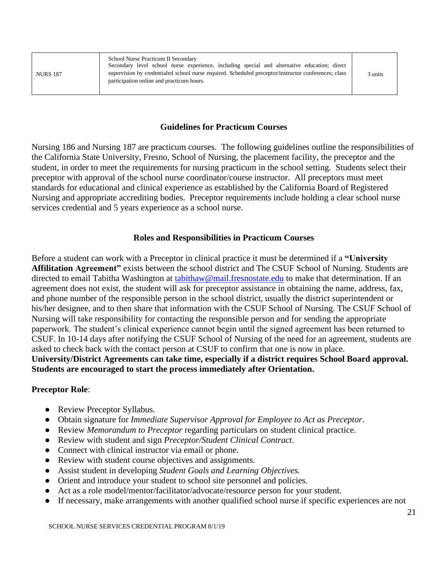| <b>NURS 187</b> | School Nurse Practicum II Secondary<br>Secondary level school nurse experience, including special and alternative education; direct<br>supervision by credentialed school nurse required. Scheduled preceptor/instructor conferences; class<br>participation online and practicum hours. | 3 units |
|-----------------|------------------------------------------------------------------------------------------------------------------------------------------------------------------------------------------------------------------------------------------------------------------------------------------|---------|
|-----------------|------------------------------------------------------------------------------------------------------------------------------------------------------------------------------------------------------------------------------------------------------------------------------------------|---------|

### **Guidelines for Practicum Courses**

Nursing 186 and Nursing 187 are practicum courses. The following guidelines outline the responsibilities of the California State University, Fresno, School of Nursing, the placement facility, the preceptor and the student, in order to meet the requirements for nursing practicum in the school setting. Students select their preceptor with approval of the school nurse coordinator/course instructor. All preceptors must meet standards for educational and clinical experience as established by the California Board of Registered Nursing and appropriate accrediting bodies. Preceptor requirements include holding a clear school nurse services credential and 5 years experience as a school nurse.

### **Roles and Responsibilities in Practicum Courses**

Before a student can work with a Preceptor in clinical practice it must be determined if a **"University Affilitation Agreement"** exists between the school district and The CSUF School of Nursing. Students are directed to email Tabitha Washington at [tabithaw@mail.fresnostate.edu](mailto:tabithaw@mail.fresnostate.edu) to make that determination. If an agreement does not exist, the student will ask for preceptor assistance in obtaining the name, address, fax, and phone number of the responsible person in the school district, usually the district superintendent or his/her designee, and to then share that information with the CSUF School of Nursing. The CSUF School of Nursing will take responsibility for contacting the responsible person and for sending the appropriate paperwork. The student's clinical experience cannot begin until the signed agreement has been returned to CSUF. In 10-14 days after notifying the CSUF School of Nursing of the need for an agreement, students are asked to check back with the contact person at CSUF to confirm that one is now in place. **University/District Agreements can take time, especially if a district requires School Board approval. Students are encouraged to start the process immediately after Orientation.**

### **Preceptor Role**:

- Review Preceptor Syllabus.
- Obtain signature for *Immediate Supervisor Approval for Employee to Act as Preceptor*.
- Review *Memorandum to Preceptor* regarding particulars on student clinical practice.
- Review with student and sign *Preceptor/Student Clinical Contract*.
- Connect with clinical instructor via email or phone.
- Review with student course objectives and assignments.
- Assist student in developing *Student Goals and Learning Objectives.*
- Orient and introduce your student to school site personnel and policies.
- Act as a role model/mentor/facilitator/advocate/resource person for your student.
- If necessary, make arrangements with another qualified school nurse if specific experiences are not

SCHOOL NURSE SERVICES CREDENTIAL PROGRAM 8/1/19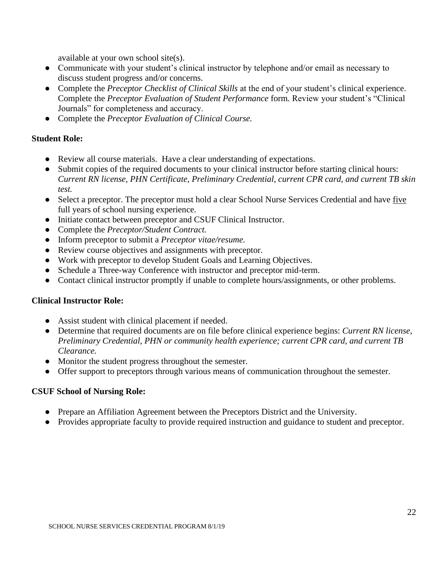available at your own school site(s).

- Communicate with your student's clinical instructor by telephone and/or email as necessary to discuss student progress and/or concerns.
- Complete the *Preceptor Checklist of Clinical Skills* at the end of your student's clinical experience. Complete the *Preceptor Evaluation of Student Performance* form*.* Review your student's "Clinical Journals" for completeness and accuracy.
- Complete the *Preceptor Evaluation of Clinical Course.*

### **Student Role:**

- Review all course materials. Have a clear understanding of expectations.
- Submit copies of the required documents to your clinical instructor before starting clinical hours: *Current RN license, PHN Certificate, Preliminary Credential, current CPR card, and current TB skin test.*
- Select a preceptor. The preceptor must hold a clear School Nurse Services Credential and have five full years of school nursing experience.
- Initiate contact between preceptor and CSUF Clinical Instructor.
- Complete the *Preceptor/Student Contract.*
- Inform preceptor to submit a *Preceptor vitae/resume.*
- Review course objectives and assignments with preceptor.
- Work with preceptor to develop Student Goals and Learning Objectives.
- Schedule a Three-way Conference with instructor and preceptor mid-term.
- Contact clinical instructor promptly if unable to complete hours/assignments, or other problems.

### **Clinical Instructor Role:**

- Assist student with clinical placement if needed.
- Determine that required documents are on file before clinical experience begins: *Current RN license, Preliminary Credential, PHN or community health experience; current CPR card, and current TB Clearance.*
- Monitor the student progress throughout the semester.
- Offer support to preceptors through various means of communication throughout the semester.

### **CSUF School of Nursing Role:**

- Prepare an Affiliation Agreement between the Preceptors District and the University.
- Provides appropriate faculty to provide required instruction and guidance to student and preceptor.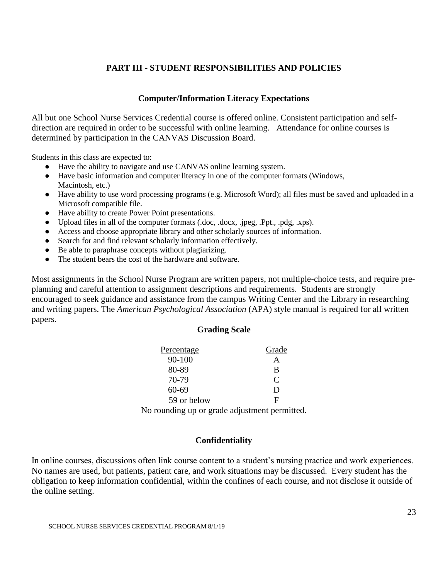### **PART III - STUDENT RESPONSIBILITIES AND POLICIES**

### **Computer/Information Literacy Expectations**

All but one School Nurse Services Credential course is offered online. Consistent participation and selfdirection are required in order to be successful with online learning. Attendance for online courses is determined by participation in the CANVAS Discussion Board.

Students in this class are expected to:

- Have the ability to navigate and use CANVAS online learning system.
- Have basic information and computer literacy in one of the computer formats (Windows, Macintosh, etc.)
- Have ability to use word processing programs (e.g. Microsoft Word); all files must be saved and uploaded in a Microsoft compatible file.
- Have ability to create Power Point presentations.
- Upload files in all of the computer formats (.doc, .docx, .jpeg, .Ppt., .pdg, .xps).
- Access and choose appropriate library and other scholarly sources of information.
- Search for and find relevant scholarly information effectively.
- Be able to paraphrase concepts without plagiarizing.
- The student bears the cost of the hardware and software.

Most assignments in the School Nurse Program are written papers, not multiple-choice tests, and require preplanning and careful attention to assignment descriptions and requirements. Students are strongly encouraged to seek guidance and assistance from the campus Writing Center and the Library in researching and writing papers. The *American Psychological Association* (APA) style manual is required for all written papers.

### **Grading Scale**

| <b>Percentage</b> | Grade |
|-------------------|-------|
| 90-100            |       |
| 80-89             | B     |
| 70-79             | C     |
| 60-69             | Ð     |
| 59 or below       | H     |

No rounding up or grade adjustment permitted.

### **Confidentiality**

In online courses, discussions often link course content to a student's nursing practice and work experiences. No names are used, but patients, patient care, and work situations may be discussed. Every student has the obligation to keep information confidential, within the confines of each course, and not disclose it outside of the online setting.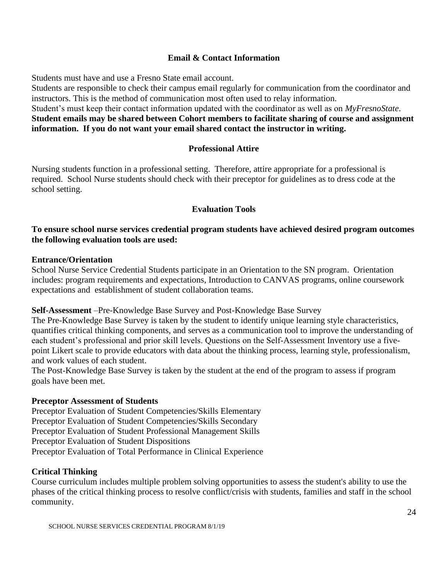### **Email & Contact Information**

Students must have and use a Fresno State email account.

Students are responsible to check their campus email regularly for communication from the coordinator and instructors. This is the method of communication most often used to relay information.

### Student's must keep their contact information updated with the coordinator as well as on *MyFresnoState*. **Student emails may be shared between Cohort members to facilitate sharing of course and assignment information. If you do not want your email shared contact the instructor in writing.**

### **Professional Attire**

Nursing students function in a professional setting. Therefore, attire appropriate for a professional is required. School Nurse students should check with their preceptor for guidelines as to dress code at the school setting.

### **Evaluation Tools**

### **To ensure school nurse services credential program students have achieved desired program outcomes the following evaluation tools are used:**

### **Entrance/Orientation**

School Nurse Service Credential Students participate in an Orientation to the SN program. Orientation includes: program requirements and expectations, Introduction to CANVAS programs, online coursework expectations and establishment of student collaboration teams.

### **Self-Assessment** –Pre-Knowledge Base Survey and Post-Knowledge Base Survey

The Pre-Knowledge Base Survey is taken by the student to identify unique learning style characteristics, quantifies critical thinking components, and serves as a communication tool to improve the understanding of each student's professional and prior skill levels. Questions on the Self-Assessment Inventory use a fivepoint Likert scale to provide educators with data about the thinking process, learning style, professionalism, and work values of each student.

The Post-Knowledge Base Survey is taken by the student at the end of the program to assess if program goals have been met.

### **Preceptor Assessment of Students**

Preceptor Evaluation of Student Competencies/Skills Elementary Preceptor Evaluation of Student Competencies/Skills Secondary Preceptor Evaluation of Student Professional Management Skills Preceptor Evaluation of Student Dispositions Preceptor Evaluation of Total Performance in Clinical Experience

### **Critical Thinking**

Course curriculum includes multiple problem solving opportunities to assess the student's ability to use the phases of the critical thinking process to resolve conflict/crisis with students, families and staff in the school community.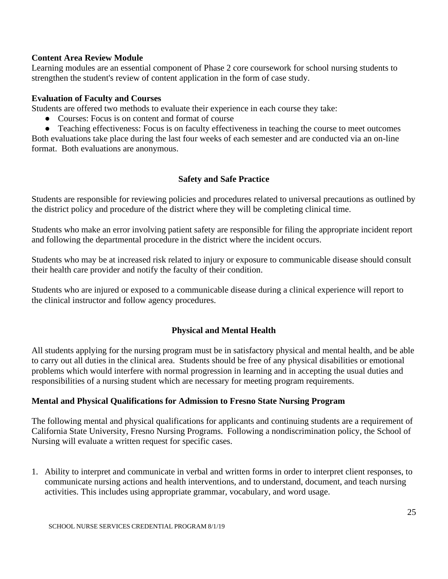### **Content Area Review Module**

Learning modules are an essential component of Phase 2 core coursework for school nursing students to strengthen the student's review of content application in the form of case study.

### **Evaluation of Faculty and Courses**

Students are offered two methods to evaluate their experience in each course they take:

- Courses: Focus is on content and format of course
- Teaching effectiveness: Focus is on faculty effectiveness in teaching the course to meet outcomes Both evaluations take place during the last four weeks of each semester and are conducted via an on-line format. Both evaluations are anonymous.

### **Safety and Safe Practice**

Students are responsible for reviewing policies and procedures related to universal precautions as outlined by the district policy and procedure of the district where they will be completing clinical time.

Students who make an error involving patient safety are responsible for filing the appropriate incident report and following the departmental procedure in the district where the incident occurs.

Students who may be at increased risk related to injury or exposure to communicable disease should consult their health care provider and notify the faculty of their condition.

Students who are injured or exposed to a communicable disease during a clinical experience will report to the clinical instructor and follow agency procedures.

### **Physical and Mental Health**

All students applying for the nursing program must be in satisfactory physical and mental health, and be able to carry out all duties in the clinical area. Students should be free of any physical disabilities or emotional problems which would interfere with normal progression in learning and in accepting the usual duties and responsibilities of a nursing student which are necessary for meeting program requirements.

### **Mental and Physical Qualifications for Admission to Fresno State Nursing Program**

The following mental and physical qualifications for applicants and continuing students are a requirement of California State University, Fresno Nursing Programs. Following a nondiscrimination policy, the School of Nursing will evaluate a written request for specific cases.

1. Ability to interpret and communicate in verbal and written forms in order to interpret client responses, to communicate nursing actions and health interventions, and to understand, document, and teach nursing activities. This includes using appropriate grammar, vocabulary, and word usage.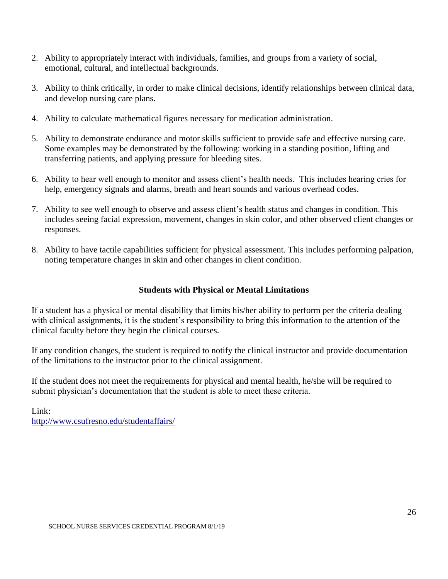- 2. Ability to appropriately interact with individuals, families, and groups from a variety of social, emotional, cultural, and intellectual backgrounds.
- 3. Ability to think critically, in order to make clinical decisions, identify relationships between clinical data, and develop nursing care plans.
- 4. Ability to calculate mathematical figures necessary for medication administration.
- 5. Ability to demonstrate endurance and motor skills sufficient to provide safe and effective nursing care. Some examples may be demonstrated by the following: working in a standing position, lifting and transferring patients, and applying pressure for bleeding sites.
- 6. Ability to hear well enough to monitor and assess client's health needs. This includes hearing cries for help, emergency signals and alarms, breath and heart sounds and various overhead codes.
- 7. Ability to see well enough to observe and assess client's health status and changes in condition. This includes seeing facial expression, movement, changes in skin color, and other observed client changes or responses.
- 8. Ability to have tactile capabilities sufficient for physical assessment. This includes performing palpation, noting temperature changes in skin and other changes in client condition.

### **Students with Physical or Mental Limitations**

If a student has a physical or mental disability that limits his/her ability to perform per the criteria dealing with clinical assignments, it is the student's responsibility to bring this information to the attention of the clinical faculty before they begin the clinical courses.

If any condition changes, the student is required to notify the clinical instructor and provide documentation of the limitations to the instructor prior to the clinical assignment.

If the student does not meet the requirements for physical and mental health, he/she will be required to submit physician's documentation that the student is able to meet these criteria.

Link: <http://www.csufresno.edu/studentaffairs/>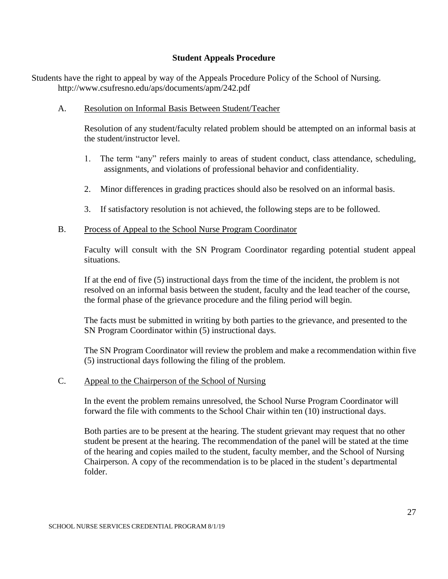### **Student Appeals Procedure**

Students have the right to appeal by way of the Appeals Procedure Policy of the School of Nursing. <http://www.csufresno.edu/aps/documents/apm/242.pdf>

A. Resolution on Informal Basis Between Student/Teacher

Resolution of any student/faculty related problem should be attempted on an informal basis at the student/instructor level.

- 1. The term "any" refers mainly to areas of student conduct, class attendance, scheduling, assignments, and violations of professional behavior and confidentiality.
- 2. Minor differences in grading practices should also be resolved on an informal basis.
- 3. If satisfactory resolution is not achieved, the following steps are to be followed.

### B. Process of Appeal to the School Nurse Program Coordinator

Faculty will consult with the SN Program Coordinator regarding potential student appeal situations.

If at the end of five (5) instructional days from the time of the incident, the problem is not resolved on an informal basis between the student, faculty and the lead teacher of the course, the formal phase of the grievance procedure and the filing period will begin.

The facts must be submitted in writing by both parties to the grievance, and presented to the SN Program Coordinator within (5) instructional days.

The SN Program Coordinator will review the problem and make a recommendation within five (5) instructional days following the filing of the problem.

### C. Appeal to the Chairperson of the School of Nursing

In the event the problem remains unresolved, the School Nurse Program Coordinator will forward the file with comments to the School Chair within ten (10) instructional days.

Both parties are to be present at the hearing. The student grievant may request that no other student be present at the hearing. The recommendation of the panel will be stated at the time of the hearing and copies mailed to the student, faculty member, and the School of Nursing Chairperson. A copy of the recommendation is to be placed in the student's departmental folder.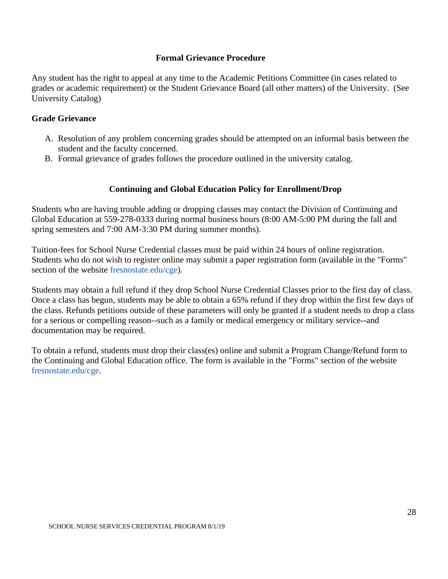### **Formal Grievance Procedure**

Any student has the right to appeal at any time to the Academic Petitions Committee (in cases related to grades or academic requirement) or the Student Grievance Board (all other matters) of the University. (See University Catalog)

### **Grade Grievance**

- A. Resolution of any problem concerning grades should be attempted on an informal basis between the student and the faculty concerned.
- B. Formal grievance of grades follows the procedure outlined in the university catalog.

### **Continuing and Global Education Policy for Enrollment/Drop**

Students who are having trouble adding or dropping classes may contact the Division of Continuing and Global Education at 559-278-0333 during normal business hours (8:00 AM-5:00 PM during the fall and spring semesters and 7:00 AM-3:30 PM during summer months).

Tuition-fees for School Nurse Credential classes must be paid within 24 hours of online registration. Students who do not wish to register online may submit a paper registration form (available in the "Forms" section of the website [fresnostate.edu/cge\)](http://fresnostate.edu/cge).

Students may obtain a full refund if they drop School Nurse Credential Classes prior to the first day of class. Once a class has begun, students may be able to obtain a 65% refund if they drop within the first few days of the class. Refunds petitions outside of these parameters will only be granted if a student needs to drop a class for a serious or compelling reason--such as a family or medical emergency or military service--and documentation may be required.

To obtain a refund, students must drop their class(es) online and submit a Program Change/Refund form to the Continuing and Global Education office. The form is available in the "Forms" section of the websit[e](http://fresnostate.edu/cge) [fresnostate.edu/cge.](http://fresnostate.edu/cge)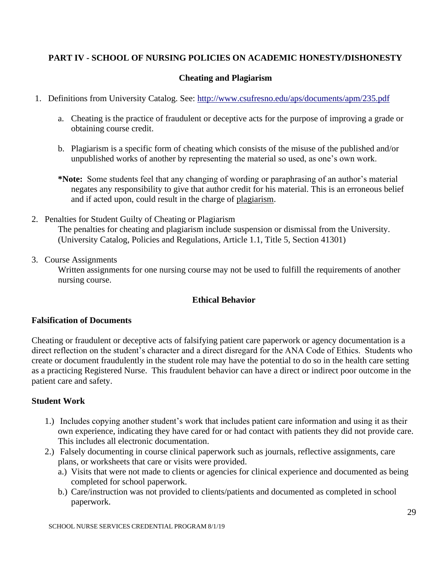### **PART IV - SCHOOL OF NURSING POLICIES ON ACADEMIC HONESTY/DISHONESTY**

### **Cheating and Plagiarism**

- 1. Definitions from University Catalog. See:<http://www.csufresno.edu/aps/documents/apm/235.pdf>
	- a. Cheating is the practice of fraudulent or deceptive acts for the purpose of improving a grade or obtaining course credit.
	- b. Plagiarism is a specific form of cheating which consists of the misuse of the published and/or unpublished works of another by representing the material so used, as one's own work.
	- **\*Note:** Some students feel that any changing of wording or paraphrasing of an author's material negates any responsibility to give that author credit for his material. This is an erroneous belief and if acted upon, could result in the charge of plagiarism.
- 2. Penalties for Student Guilty of Cheating or Plagiarism The penalties for cheating and plagiarism include suspension or dismissal from the University. (University Catalog, Policies and Regulations, Article 1.1, Title 5, Section 41301)
- 3. Course Assignments

Written assignments for one nursing course may not be used to fulfill the requirements of another nursing course.

### **Ethical Behavior**

### **Falsification of Documents**

Cheating or fraudulent or deceptive acts of falsifying patient care paperwork or agency documentation is a direct reflection on the student's character and a direct disregard for the ANA Code of Ethics. Students who create or document fraudulently in the student role may have the potential to do so in the health care setting as a practicing Registered Nurse. This fraudulent behavior can have a direct or indirect poor outcome in the patient care and safety.

### **Student Work**

- 1.) Includes copying another student's work that includes patient care information and using it as their own experience, indicating they have cared for or had contact with patients they did not provide care. This includes all electronic documentation.
- 2.) Falsely documenting in course clinical paperwork such as journals, reflective assignments, care plans, or worksheets that care or visits were provided.
	- a.) Visits that were not made to clients or agencies for clinical experience and documented as being completed for school paperwork.
	- b.) Care/instruction was not provided to clients/patients and documented as completed in school paperwork.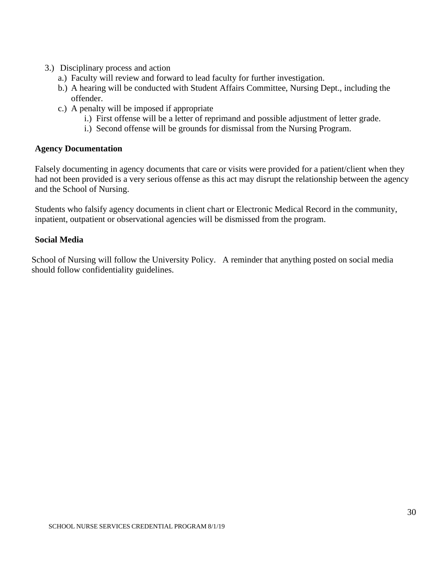- 3.) Disciplinary process and action
	- a.) Faculty will review and forward to lead faculty for further investigation.
	- b.) A hearing will be conducted with Student Affairs Committee, Nursing Dept., including the offender.
	- c.) A penalty will be imposed if appropriate
		- i.) First offense will be a letter of reprimand and possible adjustment of letter grade.
		- i.) Second offense will be grounds for dismissal from the Nursing Program.

### **Agency Documentation**

Falsely documenting in agency documents that care or visits were provided for a patient/client when they had not been provided is a very serious offense as this act may disrupt the relationship between the agency and the School of Nursing.

Students who falsify agency documents in client chart or Electronic Medical Record in the community, inpatient, outpatient or observational agencies will be dismissed from the program.

### **Social Media**

School of Nursing will follow the University Policy. A reminder that anything posted on social media should follow confidentiality guidelines.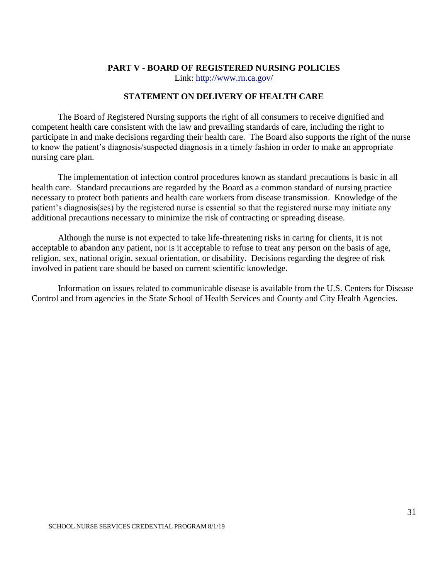#### **PART V - BOARD OF REGISTERED NURSING POLICIES**

Link:<http://www.rn.ca.gov/>

### **STATEMENT ON DELIVERY OF HEALTH CARE**

The Board of Registered Nursing supports the right of all consumers to receive dignified and competent health care consistent with the law and prevailing standards of care, including the right to participate in and make decisions regarding their health care. The Board also supports the right of the nurse to know the patient's diagnosis/suspected diagnosis in a timely fashion in order to make an appropriate nursing care plan.

The implementation of infection control procedures known as standard precautions is basic in all health care. Standard precautions are regarded by the Board as a common standard of nursing practice necessary to protect both patients and health care workers from disease transmission. Knowledge of the patient's diagnosis(ses) by the registered nurse is essential so that the registered nurse may initiate any additional precautions necessary to minimize the risk of contracting or spreading disease.

Although the nurse is not expected to take life-threatening risks in caring for clients, it is not acceptable to abandon any patient, nor is it acceptable to refuse to treat any person on the basis of age, religion, sex, national origin, sexual orientation, or disability. Decisions regarding the degree of risk involved in patient care should be based on current scientific knowledge.

Information on issues related to communicable disease is available from the U.S. Centers for Disease Control and from agencies in the State School of Health Services and County and City Health Agencies.